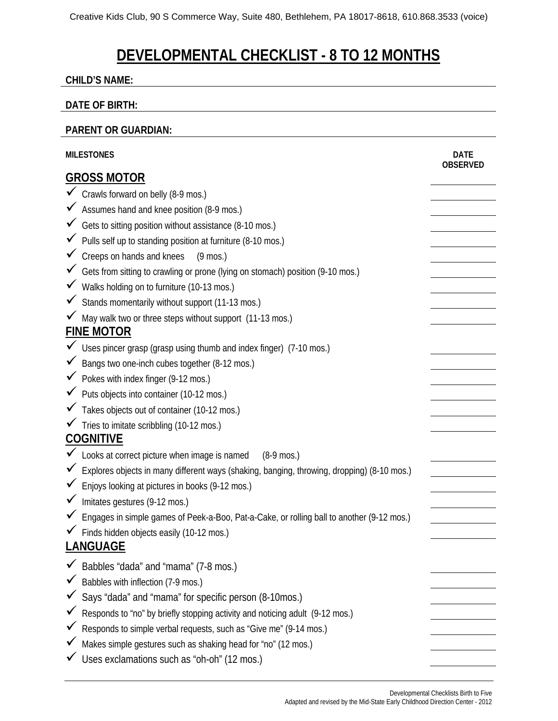# **DEVELOPMENTAL CHECKLIST - 8 TO 12 MONTHS**

#### **CHILD'S NAME:**

#### **DATE OF BIRTH:**

#### **PARENT OR GUARDIAN:**

| <b>MILESTONES</b>  |                                                                                              | <b>DATE</b><br><b>OBSERVED</b> |  |
|--------------------|----------------------------------------------------------------------------------------------|--------------------------------|--|
| <b>GROSS MOTOR</b> |                                                                                              |                                |  |
|                    | Crawls forward on belly (8-9 mos.)                                                           |                                |  |
|                    | ◆ Assumes hand and knee position (8-9 mos.)                                                  |                                |  |
|                    | Gets to sitting position without assistance (8-10 mos.)                                      |                                |  |
|                    | $\checkmark$ Pulls self up to standing position at furniture (8-10 mos.)                     |                                |  |
|                    | $\checkmark$ Creeps on hands and knees<br>$(9 \text{ mos.})$                                 |                                |  |
|                    | Gets from sitting to crawling or prone (lying on stomach) position (9-10 mos.)               |                                |  |
|                    | V Walks holding on to furniture (10-13 mos.)                                                 |                                |  |
|                    | Stands momentarily without support (11-13 mos.)                                              |                                |  |
|                    | √ May walk two or three steps without support (11-13 mos.)                                   |                                |  |
|                    | <b>FINE MOTOR</b>                                                                            |                                |  |
|                    | $\checkmark$ Uses pincer grasp (grasp using thumb and index finger) (7-10 mos.)              |                                |  |
|                    | ◆ Bangs two one-inch cubes together (8-12 mos.)                                              |                                |  |
|                    | ◆ Pokes with index finger (9-12 mos.)                                                        |                                |  |
|                    | ◆ Puts objects into container (10-12 mos.)                                                   |                                |  |
|                    | Takes objects out of container (10-12 mos.)                                                  |                                |  |
|                    | √ Tries to imitate scribbling (10-12 mos.)                                                   |                                |  |
| <b>COGNITIVE</b>   |                                                                                              |                                |  |
|                    | ► Looks at correct picture when image is named<br>$(8-9$ mos.)                               |                                |  |
|                    | ✔ Explores objects in many different ways (shaking, banging, throwing, dropping) (8-10 mos.) |                                |  |
|                    | Enjoys looking at pictures in books (9-12 mos.)                                              |                                |  |
|                    | Imitates gestures (9-12 mos.)                                                                |                                |  |
|                    | ► Engages in simple games of Peek-a-Boo, Pat-a-Cake, or rolling ball to another (9-12 mos.)  |                                |  |
|                    | √ Finds hidden objects easily (10-12 mos.)                                                   |                                |  |
|                    | <b>LANGUAGE</b>                                                                              |                                |  |
|                    | Babbles "dada" and "mama" (7-8 mos.)                                                         |                                |  |
|                    | Babbles with inflection (7-9 mos.)                                                           |                                |  |
|                    | Says "dada" and "mama" for specific person (8-10mos.)                                        |                                |  |
|                    | Responds to "no" by briefly stopping activity and noticing adult (9-12 mos.)                 |                                |  |
|                    | Responds to simple verbal requests, such as "Give me" (9-14 mos.)                            |                                |  |
|                    | Makes simple gestures such as shaking head for "no" (12 mos.)                                |                                |  |
|                    | Uses exclamations such as "oh-oh" (12 mos.)                                                  |                                |  |
|                    |                                                                                              |                                |  |